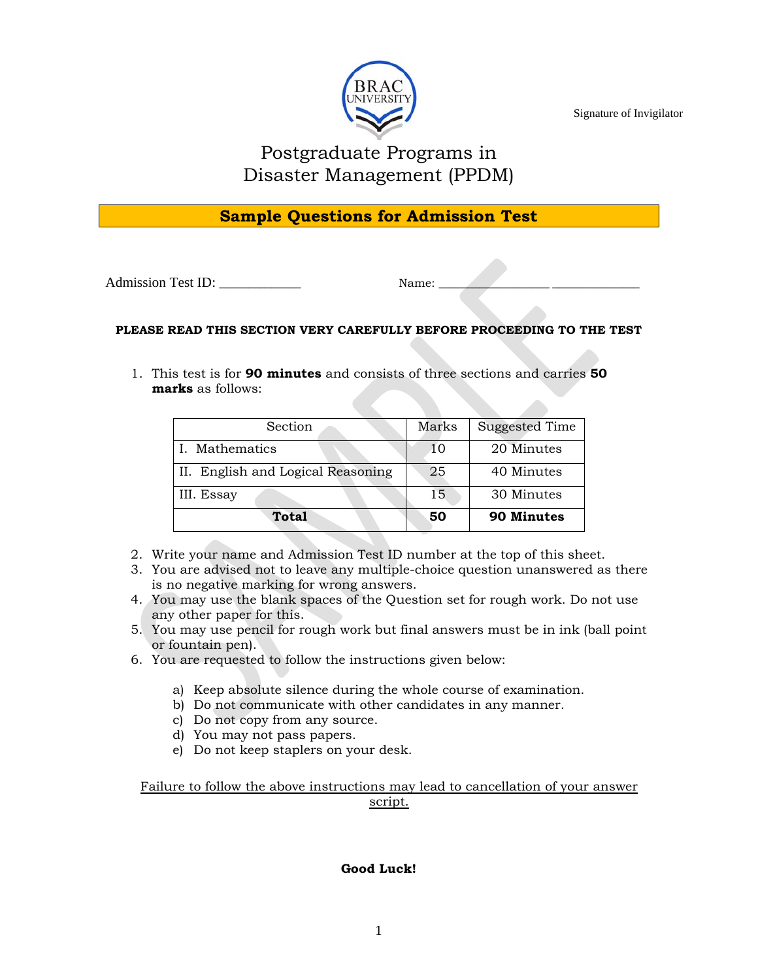

Signature of Invigilator

# Postgraduate Programs in Disaster Management (PPDM)

# **Sample Questions for Admission Test**

Admission Test ID: \_\_\_\_\_\_\_\_\_\_\_\_\_\_ Name: \_\_\_\_\_\_\_\_\_\_\_\_\_\_\_\_\_\_\_ \_\_\_\_\_\_\_\_\_\_\_\_\_\_\_

### **PLEASE READ THIS SECTION VERY CAREFULLY BEFORE PROCEEDING TO THE TEST**

1. This test is for **90 minutes** and consists of three sections and carries **50 marks** as follows:

| Section                           | Marks | <b>Suggested Time</b> |  |
|-----------------------------------|-------|-----------------------|--|
| I. Mathematics                    | 10    | 20 Minutes            |  |
| II. English and Logical Reasoning | 25    | 40 Minutes            |  |
| III. Essay                        | 15    | 30 Minutes            |  |
| <b>Total</b>                      | 50    | 90 Minutes            |  |

- 2. Write your name and Admission Test ID number at the top of this sheet.
- 3. You are advised not to leave any multiple-choice question unanswered as there is no negative marking for wrong answers.
- 4. You may use the blank spaces of the Question set for rough work. Do not use any other paper for this.
- 5. You may use pencil for rough work but final answers must be in ink (ball point or fountain pen).
- 6. You are requested to follow the instructions given below:
	- a) Keep absolute silence during the whole course of examination.
	- b) Do not communicate with other candidates in any manner.
	- c) Do not copy from any source.
	- d) You may not pass papers.
	- e) Do not keep staplers on your desk.

Failure to follow the above instructions may lead to cancellation of your answer script.

#### **Good Luck!**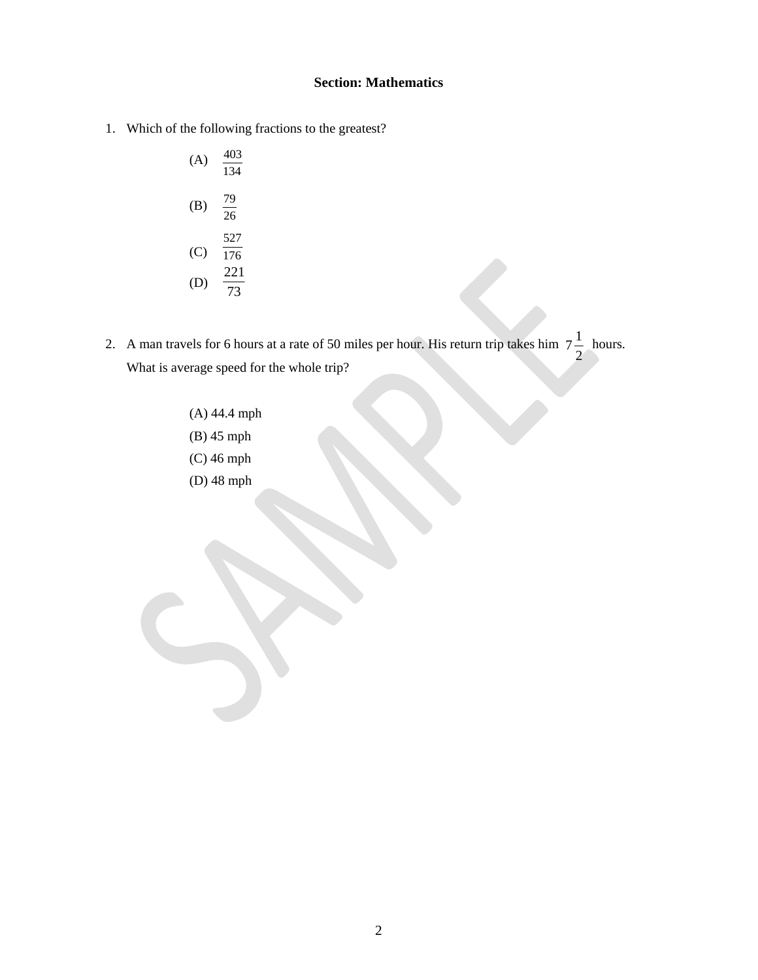#### **Section: Mathematics**

1. Which of the following fractions to the greatest?

- 2. A man travels for 6 hours at a rate of 50 miles per hour. His return trip takes him  $7-\frac{1}{2}$  hours. What is average speed for the whole trip? 2  $7\frac{1}{2}$ 
	- (A) 44.4 mph (B) 45 mph (C) 46 mph (D) 48 mph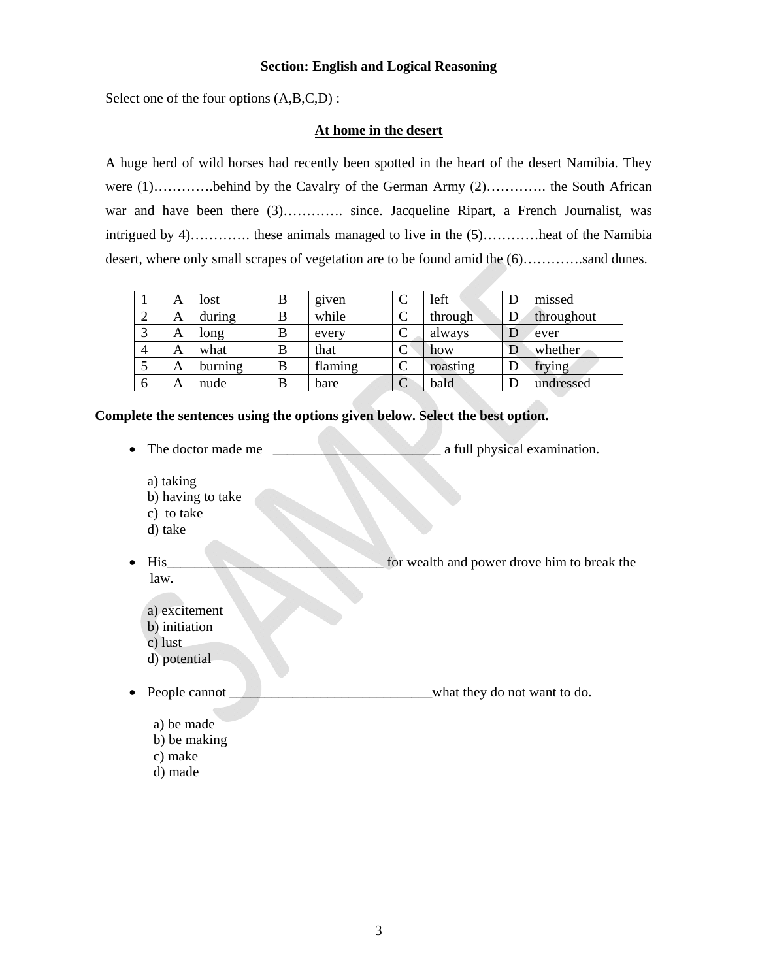#### **Section: English and Logical Reasoning**

Select one of the four options  $(A,B,C,D)$ :

#### **At home in the desert**

A huge herd of wild horses had recently been spotted in the heart of the desert Namibia. They were (1)…………behind by the Cavalry of the German Army (2)…………. the South African war and have been there (3)…………. since. Jacqueline Ripart, a French Journalist, was intrigued by 4)…………. these animals managed to live in the (5)…………heat of the Namibia desert, where only small scrapes of vegetation are to be found amid the  $(6)$ ……….sand dunes.

|   | А | lost    | B | given   | left     | D  | missed     |
|---|---|---------|---|---------|----------|----|------------|
|   | А | during  | B | while   | through  | IJ | throughout |
|   | А | long    | B | every   | always   | D  | ever       |
| 4 | А | what    | B | that    | how      | D  | whether    |
|   | А | burning | B | flaming | roasting | Γ  | frying     |
| 6 | А | nude    | B | bare    | bald     | D  | undressed  |

**Complete the sentences using the options given below. Select the best option.** 

• The doctor made me \_\_\_\_\_\_\_\_\_\_\_\_\_\_\_\_\_\_\_\_\_\_\_\_ a full physical examination.

 a) taking b) having to take c) to take d) take

- His Formula and power drove him to break the law.
	- a) excitement
	- b) initiation
	- c) lust
	- d) potential
- People cannot **Property People cannot People cannot Property People cannot Property Property Property Property Property Property Property Property Property Property Property Property Pro** 
	- a) be made
	- b) be making
	- c) make
	- d) made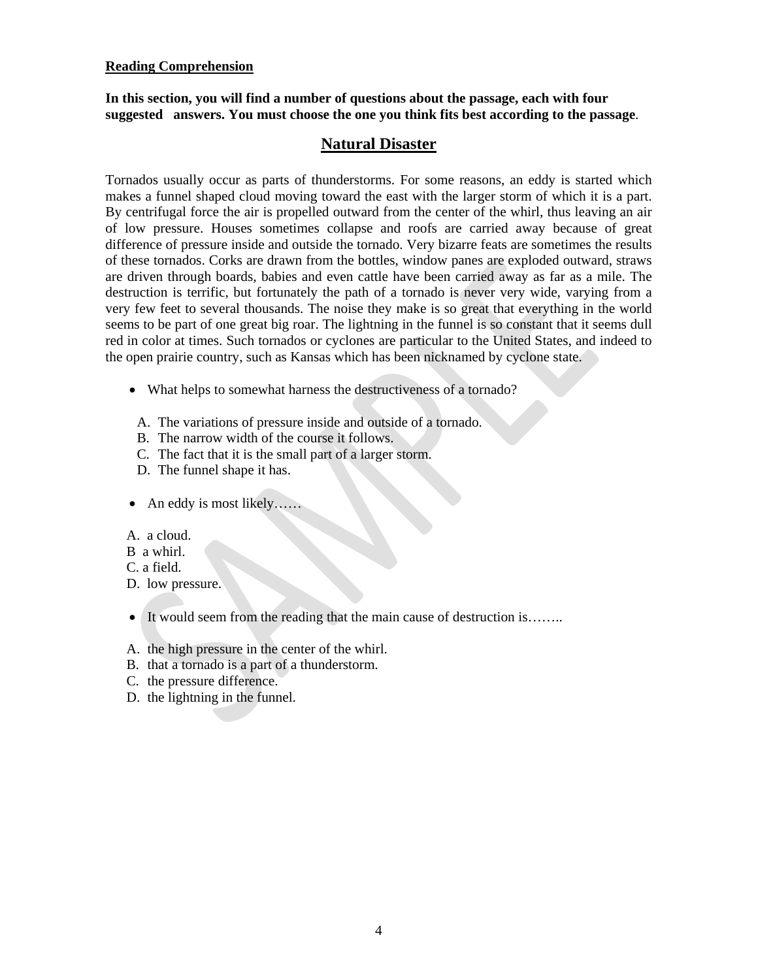#### **Reading Comprehension**

**In this section, you will find a number of questions about the passage, each with four suggested answers. You must choose the one you think fits best according to the passage**.

### **Natural Disaster**

Tornados usually occur as parts of thunderstorms. For some reasons, an eddy is started which makes a funnel shaped cloud moving toward the east with the larger storm of which it is a part. By centrifugal force the air is propelled outward from the center of the whirl, thus leaving an air of low pressure. Houses sometimes collapse and roofs are carried away because of great difference of pressure inside and outside the tornado. Very bizarre feats are sometimes the results of these tornados. Corks are drawn from the bottles, window panes are exploded outward, straws are driven through boards, babies and even cattle have been carried away as far as a mile. The destruction is terrific, but fortunately the path of a tornado is never very wide, varying from a very few feet to several thousands. The noise they make is so great that everything in the world seems to be part of one great big roar. The lightning in the funnel is so constant that it seems dull red in color at times. Such tornados or cyclones are particular to the United States, and indeed to the open prairie country, such as Kansas which has been nicknamed by cyclone state.

- What helps to somewhat harness the destructiveness of a tornado?
- A. The variations of pressure inside and outside of a tornado.
- B. The narrow width of the course it follows.
- C. The fact that it is the small part of a larger storm.
- D. The funnel shape it has.
- An eddy is most likely……
- A. a cloud.
- B a whirl.
- C. a field.
- D. low pressure.
- It would seem from the reading that the main cause of destruction is…....
- A. the high pressure in the center of the whirl.
- B. that a tornado is a part of a thunderstorm.
- C. the pressure difference.
- D. the lightning in the funnel.